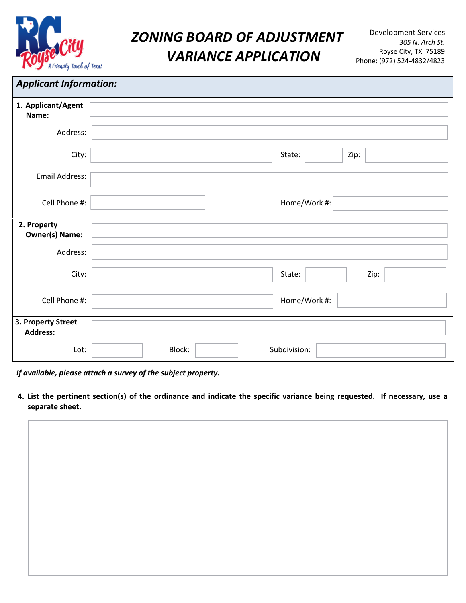

# **ZONING BOARD OF ADJUSTMENT** Development Services *VARIANCE APPLICATION* Royse City, TX 75189

### *Applicant Information:*

| 1. Applicant/Agent<br>Name:           |                        |
|---------------------------------------|------------------------|
| Address:                              |                        |
| City:                                 | State:<br>Zip:         |
| Email Address:                        |                        |
| Cell Phone #:                         | Home/Work #:           |
| 2. Property<br><b>Owner(s) Name:</b>  |                        |
| Address:                              |                        |
| City:                                 | State:<br>Zip:         |
| Cell Phone #:                         | Home/Work #:           |
| 3. Property Street<br><b>Address:</b> |                        |
| Lot:                                  | Block:<br>Subdivision: |

*If available, please attach a survey of the subject property.*

4. List the pertinent section(s) of the ordinance and indicate the specific variance being requested. If necessary, use a **separate sheet.**

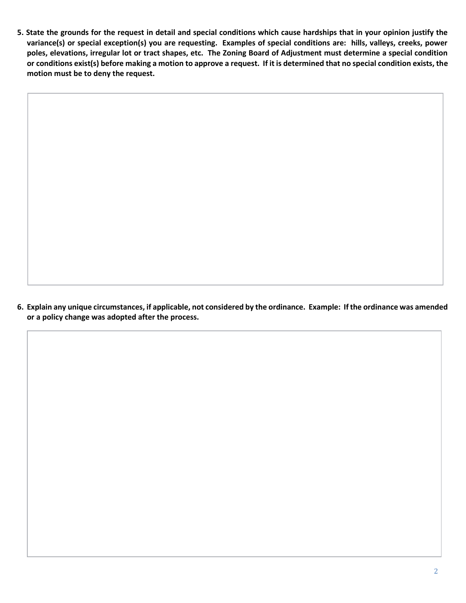5. State the grounds for the request in detail and special conditions which cause hardships that in your opinion justify the variance(s) or special exception(s) you are requesting. Examples of special conditions are: hills, valleys, creeks, power poles, elevations, irregular lot or tract shapes, etc. The Zoning Board of Adjustment must determine a special condition or conditions exist(s) before making a motion to approve a request. If it is determined that no special condition exists, the **motion must be to deny the request.**

6. Explain any unique circumstances, if applicable, not considered by the ordinance. Example: If the ordinance was amended **or a policy change was adopted after the process.**